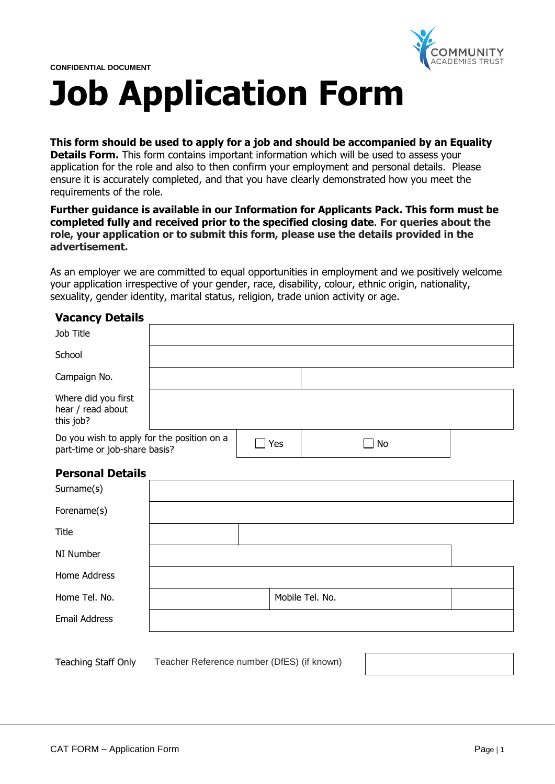

# **Job Application Form**

## **This form should be used to apply for a job and should be accompanied by an Equality**

**Details Form.** This form contains important information which will be used to assess your application for the role and also to then confirm your employment and personal details. Please ensure it is accurately completed, and that you have clearly demonstrated how you meet the requirements of the role.

## **Further guidance is available in our Information for Applicants Pack. This form must be completed fully and received prior to the specified closing date**. **For queries about the role, your application or to submit this form, please use the details provided in the advertisement.**

As an employer we are committed to equal opportunities in employment and we positively welcome your application irrespective of your gender, race, disability, colour, ethnic origin, nationality, sexuality, gender identity, marital status, religion, trade union activity or age.

## **Vacancy Details**

| Job Title                                                                                |                                            |  |                 |  |  |
|------------------------------------------------------------------------------------------|--------------------------------------------|--|-----------------|--|--|
| School                                                                                   |                                            |  |                 |  |  |
| Campaign No.                                                                             |                                            |  |                 |  |  |
| Where did you first<br>hear / read about<br>this job?                                    |                                            |  |                 |  |  |
| Do you wish to apply for the position on a<br>Yes<br>No<br>part-time or job-share basis? |                                            |  |                 |  |  |
| <b>Personal Details</b>                                                                  |                                            |  |                 |  |  |
| Surname(s)                                                                               |                                            |  |                 |  |  |
| Forename(s)                                                                              |                                            |  |                 |  |  |
| <b>Title</b>                                                                             |                                            |  |                 |  |  |
| NI Number                                                                                |                                            |  |                 |  |  |
| Home Address                                                                             |                                            |  |                 |  |  |
| Home Tel. No.                                                                            |                                            |  | Mobile Tel. No. |  |  |
| <b>Email Address</b>                                                                     |                                            |  |                 |  |  |
|                                                                                          |                                            |  |                 |  |  |
| Teaching Staff Only                                                                      | Teacher Reference number (DfES) (if known) |  |                 |  |  |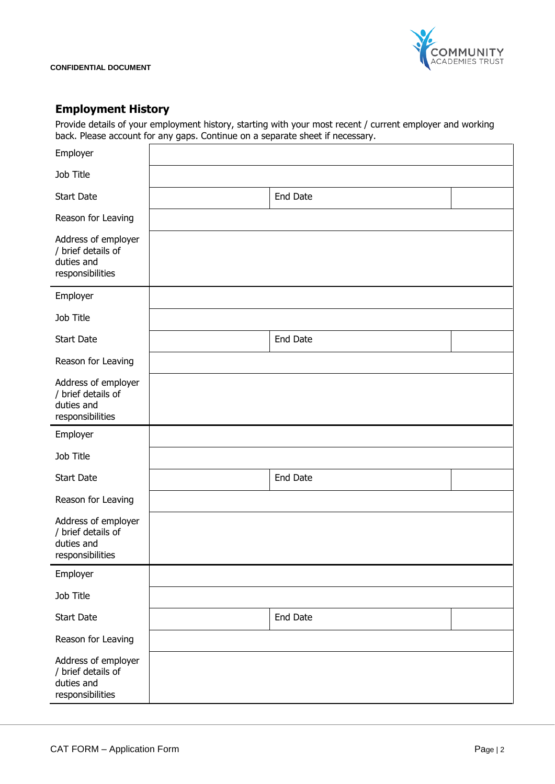

# **Employment History**

Provide details of your employment history, starting with your most recent / current employer and working back. Please account for any gaps. Continue on a separate sheet if necessary.

| Employer                                                                    |                 |
|-----------------------------------------------------------------------------|-----------------|
| Job Title                                                                   |                 |
| <b>Start Date</b>                                                           | <b>End Date</b> |
| Reason for Leaving                                                          |                 |
| Address of employer<br>/ brief details of<br>duties and<br>responsibilities |                 |
| Employer                                                                    |                 |
| Job Title                                                                   |                 |
| <b>Start Date</b>                                                           | End Date        |
| Reason for Leaving                                                          |                 |
| Address of employer<br>/ brief details of<br>duties and<br>responsibilities |                 |
| Employer                                                                    |                 |
| Job Title                                                                   |                 |
| <b>Start Date</b>                                                           | End Date        |
| Reason for Leaving                                                          |                 |
| Address of employer<br>/ brief details of<br>duties and<br>responsibilities |                 |
| Employer                                                                    |                 |
| Job Title                                                                   |                 |
| <b>Start Date</b>                                                           | End Date        |
| Reason for Leaving                                                          |                 |
| Address of employer<br>/ brief details of<br>duties and<br>responsibilities |                 |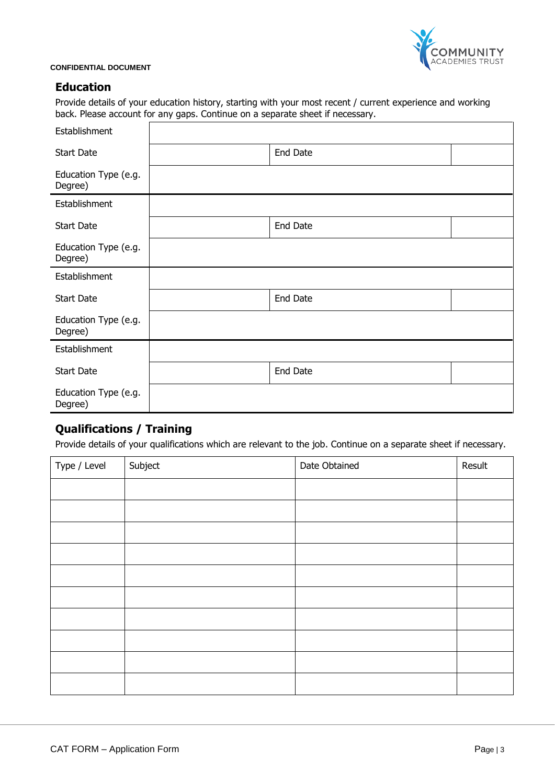

# **Education**

Provide details of your education history, starting with your most recent / current experience and working back. Please account for any gaps. Continue on a separate sheet if necessary.

| Establishment                   |          |  |
|---------------------------------|----------|--|
| <b>Start Date</b>               | End Date |  |
| Education Type (e.g.<br>Degree) |          |  |
| Establishment                   |          |  |
| <b>Start Date</b>               | End Date |  |
| Education Type (e.g.<br>Degree) |          |  |
| Establishment                   |          |  |
| <b>Start Date</b>               | End Date |  |
| Education Type (e.g.<br>Degree) |          |  |
| Establishment                   |          |  |
| <b>Start Date</b>               | End Date |  |
| Education Type (e.g.<br>Degree) |          |  |

# **Qualifications / Training**

Provide details of your qualifications which are relevant to the job. Continue on a separate sheet if necessary.

| Type / Level | Subject | Date Obtained | Result |
|--------------|---------|---------------|--------|
|              |         |               |        |
|              |         |               |        |
|              |         |               |        |
|              |         |               |        |
|              |         |               |        |
|              |         |               |        |
|              |         |               |        |
|              |         |               |        |
|              |         |               |        |
|              |         |               |        |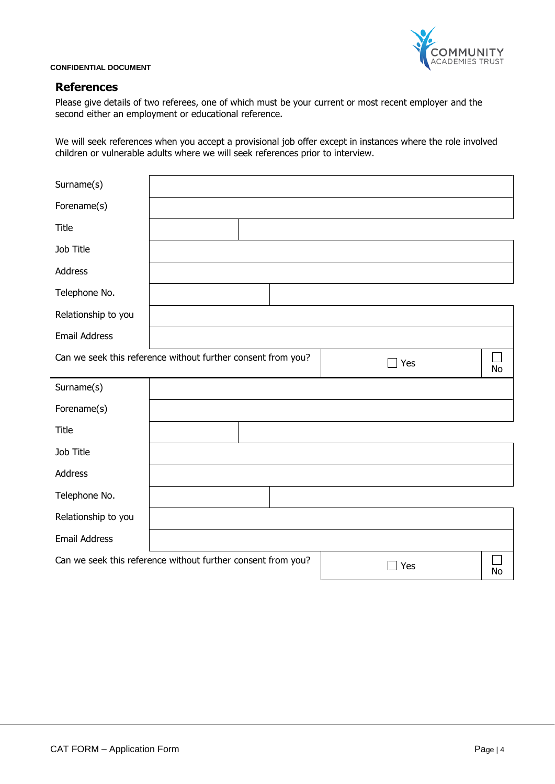

## **References**

Please give details of two referees, one of which must be your current or most recent employer and the second either an employment or educational reference.

We will seek references when you accept a provisional job offer except in instances where the role involved children or vulnerable adults where we will seek references prior to interview.

| Surname(s)                                                   |  |  |     |           |
|--------------------------------------------------------------|--|--|-----|-----------|
| Forename(s)                                                  |  |  |     |           |
| Title                                                        |  |  |     |           |
| Job Title                                                    |  |  |     |           |
| Address                                                      |  |  |     |           |
| Telephone No.                                                |  |  |     |           |
| Relationship to you                                          |  |  |     |           |
| <b>Email Address</b>                                         |  |  |     |           |
| Can we seek this reference without further consent from you? |  |  | Yes | <b>No</b> |
| Surname(s)                                                   |  |  |     |           |
| Forename(s)                                                  |  |  |     |           |
| Title                                                        |  |  |     |           |
| Job Title                                                    |  |  |     |           |
| Address                                                      |  |  |     |           |
| Telephone No.                                                |  |  |     |           |
| Relationship to you                                          |  |  |     |           |
| <b>Email Address</b>                                         |  |  |     |           |
| Can we seek this reference without further consent from you? |  |  | Yes | No        |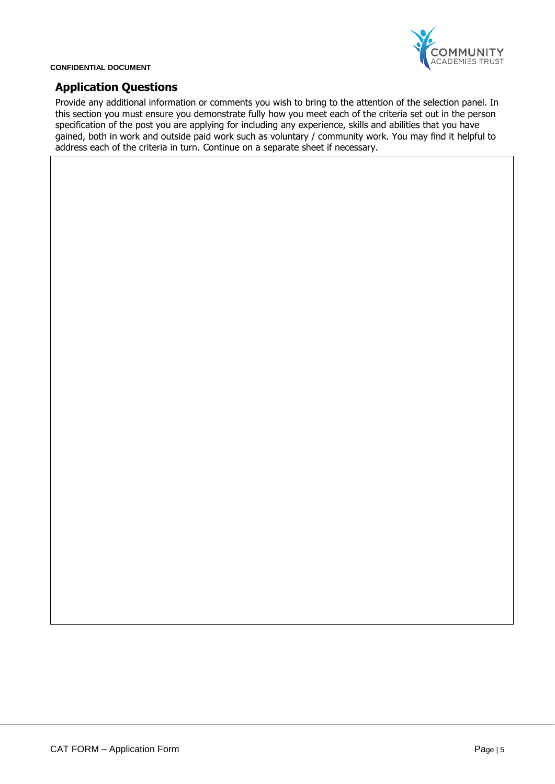

# **Application Questions**

Provide any additional information or comments you wish to bring to the attention of the selection panel. In this section you must ensure you demonstrate fully how you meet each of the criteria set out in the person specification of the post you are applying for including any experience, skills and abilities that you have gained, both in work and outside paid work such as voluntary / community work. You may find it helpful to address each of the criteria in turn. Continue on a separate sheet if necessary.